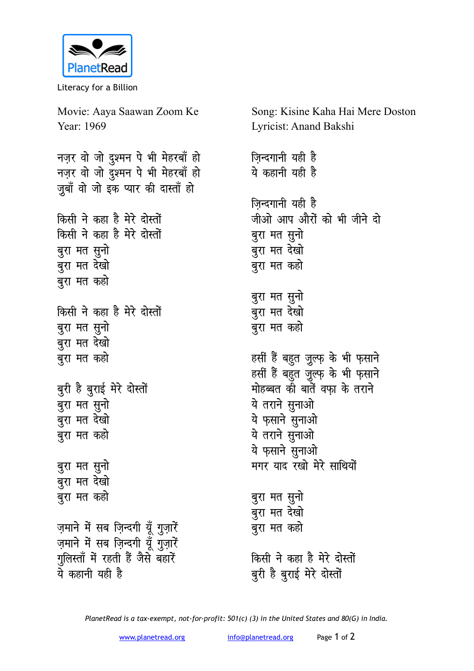

Literacy for a Billion

Movie: Aaya Saawan Zoom Ke Song: Kisine Kaha Hai Mere Doston Year: 1969 Lyricist: Anand Bakshi नज़र वो जो दुश्मन पे भी मेहरबाँ हो जिन्दगानी यही है नज़र वो जो दुश्मन पे भी मेहरबाँ हो ये कहानी यही है जुबाँ वो जो इक प्यार की दास्ताँ हो जिन्दगानी यही है किसी ने कहा है मेरे दोस्तों जीओ आप औरों को भी जीने दो किसी ने कहा है मेरे दोस्तों बुरा मत सुनो बुरा मत सुनो बरा मत देखो बुरा मत देखो बुरा मत कहो बुरा मत कहो बुरा मत सुनो बुरा मत देखो किसी ने कहा है मेरे दोस्तों बुरा मत सूनो बरा मत कहो बरा मत देखो बुरा मत कहो हसीं हैं बहुत जुल्फ़ के भी फ़साने हसीं हैं बहुत जुल्फ़ के भी फ़साने बुरी है बुराई मेरे दोस्तों मोहब्बत की बातें वफा के तराने ये तराने सुनाओ बुरा मत सुनो बुरा मत देखो ये फुसाने सुनाओ बुरा मत कहो ये तराने सुनाओ ये फ़साने सुनाओ मगर याद रखो मेरे साथियों बुरा मत सुनो बुरा मत देखो बुरा मत कहो बुरा मत सुनो बुरा मत देखो ज़माने में सब ज़िन्दगी यूँ गुज़ारें बुरा मत कहो ज़माने में सब ज़िन्दगी यूँ गुज़ारें गुलिस्ताँ में रहती हैं जैसे बहारें किसी ने कहा है मेरे दोस्तों ये कहानी यही है बुरी है बुराई मेरे दोस्तों

PlanetRead is a tax-exempt, not-for-profit:  $501(c)$  (3) in the United States and 80(G) in India.